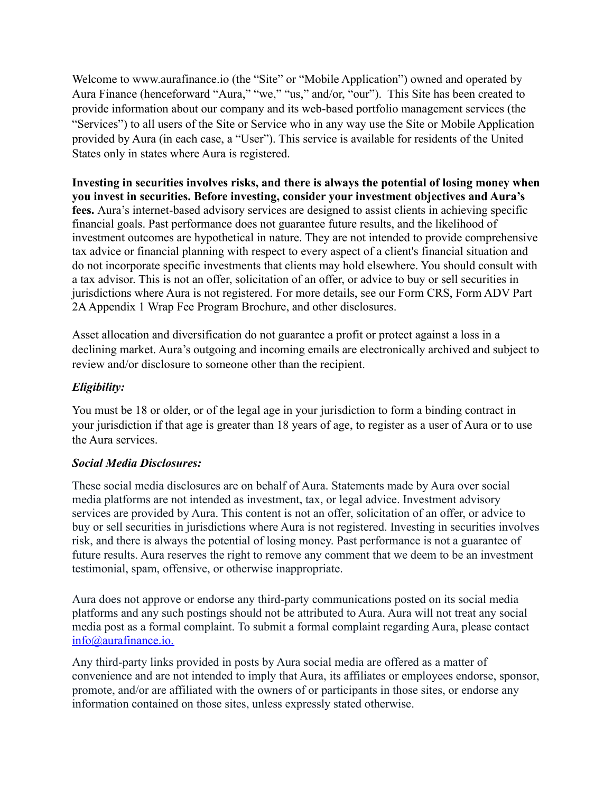Welcome to www.aurafinance.io (the "Site" or "Mobile Application") owned and operated by Aura Finance (henceforward "Aura," "we," "us," and/or, "our"). This Site has been created to provide information about our company and its web-based portfolio management services (the "Services") to all users of the Site or Service who in any way use the Site or Mobile Application provided by Aura (in each case, a "User"). This service is available for residents of the United States only in states where Aura is registered.

**Investing in securities involves risks, and there is always the potential of losing money when you invest in securities. Before investing, consider your investment objectives and Aura's fees.** Aura's internet-based advisory services are designed to assist clients in achieving specific financial goals. Past performance does not guarantee future results, and the likelihood of investment outcomes are hypothetical in nature. They are not intended to provide comprehensive tax advice or financial planning with respect to every aspect of a client's financial situation and do not incorporate specific investments that clients may hold elsewhere. You should consult with a tax advisor. This is not an offer, solicitation of an offer, or advice to buy or sell securities in jurisdictions where Aura is not registered. For more details, see our Form CRS, Form ADV Part 2AAppendix 1 Wrap Fee Program Brochure, and other disclosures.

Asset allocation and diversification do not guarantee a profit or protect against a loss in a declining market. Aura's outgoing and incoming emails are electronically archived and subject to review and/or disclosure to someone other than the recipient.

## *Eligibility:*

You must be 18 or older, or of the legal age in your jurisdiction to form a binding contract in your jurisdiction if that age is greater than 18 years of age, to register as a user of Aura or to use the Aura services.

## *Social Media Disclosures:*

These social media disclosures are on behalf of Aura. Statements made by Aura over social media platforms are not intended as investment, tax, or legal advice. Investment advisory services are provided by Aura. This content is not an offer, solicitation of an offer, or advice to buy or sell securities in jurisdictions where Aura is not registered. Investing in securities involves risk, and there is always the potential of losing money. Past performance is not a guarantee of future results. Aura reserves the right to remove any comment that we deem to be an investment testimonial, spam, offensive, or otherwise inappropriate.

Aura does not approve or endorse any third-party communications posted on its social media platforms and any such postings should not be attributed to Aura. Aura will not treat any social media post as a formal complaint. To submit a formal complaint regarding Aura, please contact info@aurafinance.io.

Any third-party links provided in posts by Aura social media are offered as a matter of convenience and are not intended to imply that Aura, its affiliates or employees endorse, sponsor, promote, and/or are affiliated with the owners of or participants in those sites, or endorse any information contained on those sites, unless expressly stated otherwise.